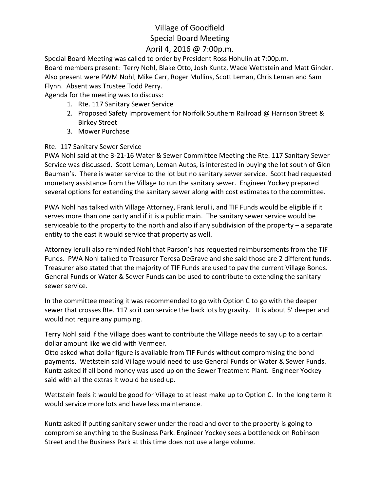# Village of Goodfield Special Board Meeting

### April 4, 2016 @ 7:00p.m.

Special Board Meeting was called to order by President Ross Hohulin at 7:00p.m. Board members present: Terry Nohl, Blake Otto, Josh Kuntz, Wade Wettstein and Matt Ginder. Also present were PWM Nohl, Mike Carr, Roger Mullins, Scott Leman, Chris Leman and Sam Flynn. Absent was Trustee Todd Perry.

Agenda for the meeting was to discuss:

- 1. Rte. 117 Sanitary Sewer Service
- 2. Proposed Safety Improvement for Norfolk Southern Railroad @ Harrison Street & Birkey Street
- 3. Mower Purchase

#### Rte. 117 Sanitary Sewer Service

PWA Nohl said at the 3-21-16 Water & Sewer Committee Meeting the Rte. 117 Sanitary Sewer Service was discussed. Scott Leman, Leman Autos, is interested in buying the lot south of Glen Bauman's. There is water service to the lot but no sanitary sewer service. Scott had requested monetary assistance from the Village to run the sanitary sewer. Engineer Yockey prepared several options for extending the sanitary sewer along with cost estimates to the committee.

PWA Nohl has talked with Village Attorney, Frank Ierulli, and TIF Funds would be eligible if it serves more than one party and if it is a public main. The sanitary sewer service would be serviceable to the property to the north and also if any subdivision of the property – a separate entity to the east it would service that property as well.

Attorney Ierulli also reminded Nohl that Parson's has requested reimbursements from the TIF Funds. PWA Nohl talked to Treasurer Teresa DeGrave and she said those are 2 different funds. Treasurer also stated that the majority of TIF Funds are used to pay the current Village Bonds. General Funds or Water & Sewer Funds can be used to contribute to extending the sanitary sewer service.

In the committee meeting it was recommended to go with Option C to go with the deeper sewer that crosses Rte. 117 so it can service the back lots by gravity. It is about 5' deeper and would not require any pumping.

Terry Nohl said if the Village does want to contribute the Village needs to say up to a certain dollar amount like we did with Vermeer.

Otto asked what dollar figure is available from TIF Funds without compromising the bond payments. Wettstein said Village would need to use General Funds or Water & Sewer Funds. Kuntz asked if all bond money was used up on the Sewer Treatment Plant. Engineer Yockey said with all the extras it would be used up.

Wettstein feels it would be good for Village to at least make up to Option C. In the long term it would service more lots and have less maintenance.

Kuntz asked if putting sanitary sewer under the road and over to the property is going to compromise anything to the Business Park. Engineer Yockey sees a bottleneck on Robinson Street and the Business Park at this time does not use a large volume.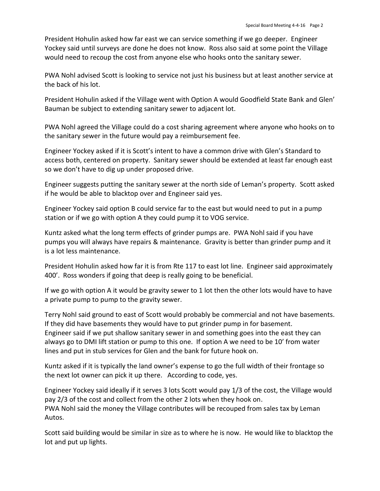President Hohulin asked how far east we can service something if we go deeper. Engineer Yockey said until surveys are done he does not know. Ross also said at some point the Village would need to recoup the cost from anyone else who hooks onto the sanitary sewer.

PWA Nohl advised Scott is looking to service not just his business but at least another service at the back of his lot.

President Hohulin asked if the Village went with Option A would Goodfield State Bank and Glen' Bauman be subject to extending sanitary sewer to adjacent lot.

PWA Nohl agreed the Village could do a cost sharing agreement where anyone who hooks on to the sanitary sewer in the future would pay a reimbursement fee.

Engineer Yockey asked if it is Scott's intent to have a common drive with Glen's Standard to access both, centered on property. Sanitary sewer should be extended at least far enough east so we don't have to dig up under proposed drive.

Engineer suggests putting the sanitary sewer at the north side of Leman's property. Scott asked if he would be able to blacktop over and Engineer said yes.

Engineer Yockey said option B could service far to the east but would need to put in a pump station or if we go with option A they could pump it to VOG service.

Kuntz asked what the long term effects of grinder pumps are. PWA Nohl said if you have pumps you will always have repairs & maintenance. Gravity is better than grinder pump and it is a lot less maintenance.

President Hohulin asked how far it is from Rte 117 to east lot line. Engineer said approximately 400'. Ross wonders if going that deep is really going to be beneficial.

If we go with option A it would be gravity sewer to 1 lot then the other lots would have to have a private pump to pump to the gravity sewer.

Terry Nohl said ground to east of Scott would probably be commercial and not have basements. If they did have basements they would have to put grinder pump in for basement. Engineer said if we put shallow sanitary sewer in and something goes into the east they can always go to DMI lift station or pump to this one. If option A we need to be 10' from water lines and put in stub services for Glen and the bank for future hook on.

Kuntz asked if it is typically the land owner's expense to go the full width of their frontage so the next lot owner can pick it up there. According to code, yes.

Engineer Yockey said ideally if it serves 3 lots Scott would pay 1/3 of the cost, the Village would pay 2/3 of the cost and collect from the other 2 lots when they hook on. PWA Nohl said the money the Village contributes will be recouped from sales tax by Leman Autos.

Scott said building would be similar in size as to where he is now. He would like to blacktop the lot and put up lights.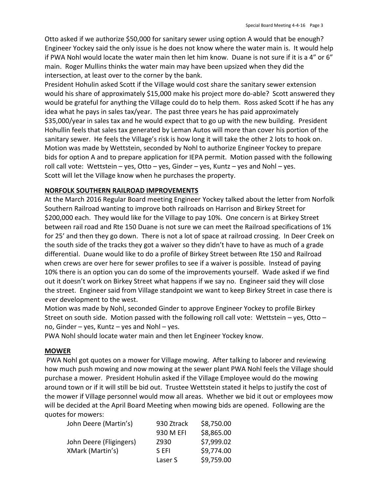Otto asked if we authorize \$50,000 for sanitary sewer using option A would that be enough? Engineer Yockey said the only issue is he does not know where the water main is. It would help if PWA Nohl would locate the water main then let him know. Duane is not sure if it is a 4" or 6" main. Roger Mullins thinks the water main may have been upsized when they did the intersection, at least over to the corner by the bank.

President Hohulin asked Scott if the Village would cost share the sanitary sewer extension would his share of approximately \$15,000 make his project more do-able? Scott answered they would be grateful for anything the Village could do to help them. Ross asked Scott if he has any idea what he pays in sales tax/year. The past three years he has paid approximately \$35,000/year in sales tax and he would expect that to go up with the new building. President Hohullin feels that sales tax generated by Leman Autos will more than cover his portion of the sanitary sewer. He feels the Village's risk is how long it will take the other 2 lots to hook on. Motion was made by Wettstein, seconded by Nohl to authorize Engineer Yockey to prepare bids for option A and to prepare application for IEPA permit. Motion passed with the following roll call vote: Wettstein – yes, Otto – yes, Ginder – yes, Kuntz – yes and Nohl – yes. Scott will let the Village know when he purchases the property.

#### **NORFOLK SOUTHERN RAILROAD IMPROVEMENTS**

At the March 2016 Regular Board meeting Engineer Yockey talked about the letter from Norfolk Southern Railroad wanting to improve both railroads on Harrison and Birkey Street for \$200,000 each. They would like for the Village to pay 10%. One concern is at Birkey Street between rail road and Rte 150 Duane is not sure we can meet the Railroad specifications of 1% for 25' and then they go down. There is not a lot of space at railroad crossing. In Deer Creek on the south side of the tracks they got a waiver so they didn't have to have as much of a grade differential. Duane would like to do a profile of Birkey Street between Rte 150 and Railroad when crews are over here for sewer profiles to see if a waiver is possible. Instead of paying 10% there is an option you can do some of the improvements yourself. Wade asked if we find out it doesn't work on Birkey Street what happens if we say no. Engineer said they will close the street. Engineer said from Village standpoint we want to keep Birkey Street in case there is ever development to the west.

Motion was made by Nohl, seconded Ginder to approve Engineer Yockey to profile Birkey Street on south side. Motion passed with the following roll call vote: Wettstein – yes, Otto – no, Ginder – yes, Kuntz – yes and Nohl – yes.

PWA Nohl should locate water main and then let Engineer Yockey know.

#### **MOWER**

PWA Nohl got quotes on a mower for Village mowing. After talking to laborer and reviewing how much push mowing and now mowing at the sewer plant PWA Nohl feels the Village should purchase a mower. President Hohulin asked if the Village Employee would do the mowing around town or if it will still be bid out. Trustee Wettstein stated it helps to justify the cost of the mower if Village personnel would mow all areas. Whether we bid it out or employees mow will be decided at the April Board Meeting when mowing bids are opened. Following are the quotes for mowers:

| John Deere (Martin's)   | 930 Ztrack | \$8,750.00 |
|-------------------------|------------|------------|
|                         | 930 M EFI  | \$8,865.00 |
| John Deere (Fligingers) | Z930       | \$7,999.02 |
| XMark (Martin's)        | S FFI      | \$9,774.00 |
|                         | Laser S    | \$9,759.00 |